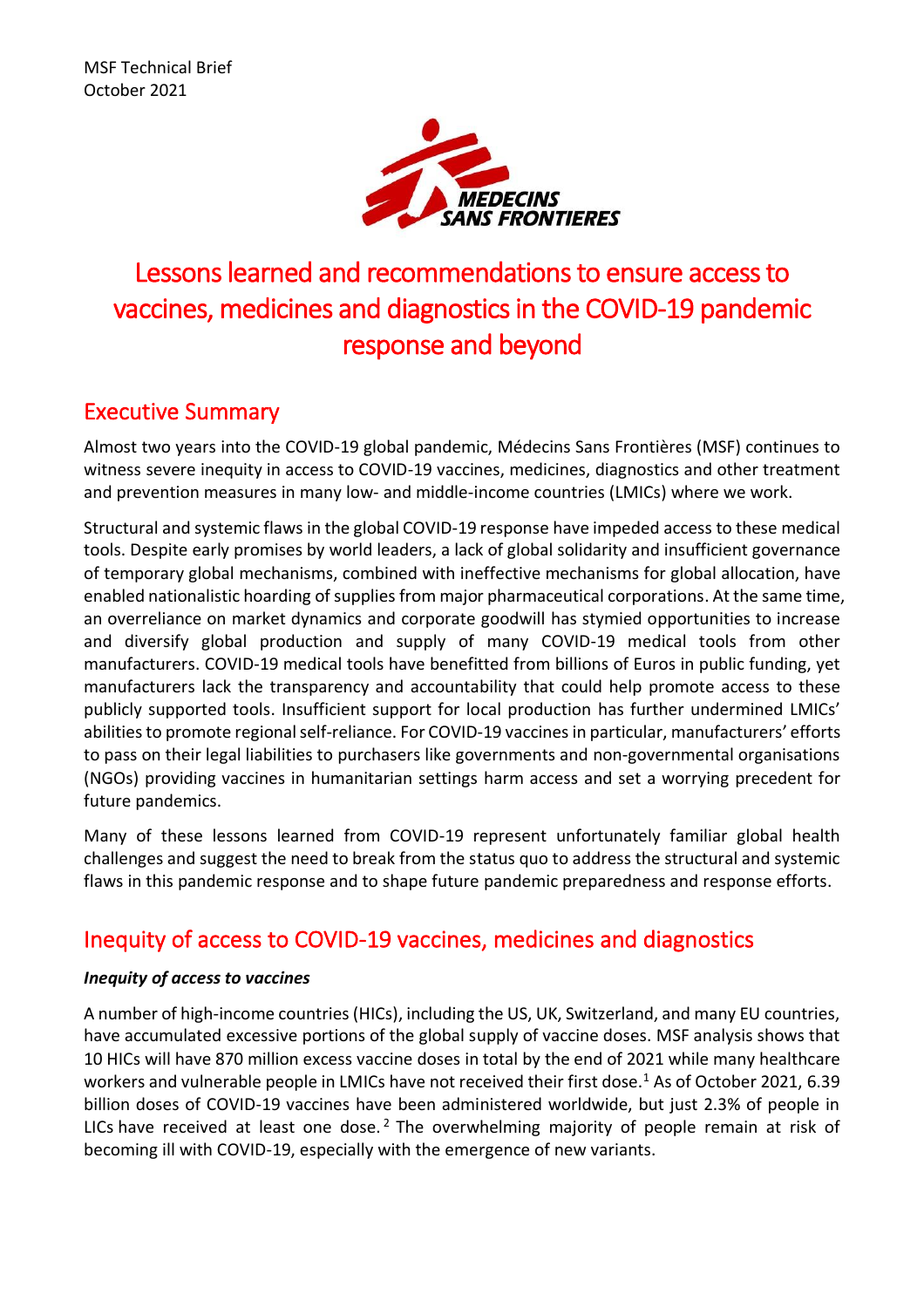

# Lessons learned and recommendations to ensure access to vaccines, medicines and diagnostics in the COVID-19 pandemic response and beyond

# Executive Summary

Almost two years into the COVID-19 global pandemic, Médecins Sans Frontières (MSF) continues to witness severe inequity in access to COVID-19 vaccines, medicines, diagnostics and other treatment and prevention measures in many low- and middle-income countries (LMICs) where we work.

Structural and systemic flaws in the global COVID-19 response have impeded access to these medical tools. Despite early promises by world leaders, a lack of global solidarity and insufficient governance of temporary global mechanisms, combined with ineffective mechanisms for global allocation, have enabled nationalistic hoarding of supplies from major pharmaceutical corporations. At the same time, an overreliance on market dynamics and corporate goodwill has stymied opportunities to increase and diversify global production and supply of many COVID-19 medical tools from other manufacturers. COVID-19 medical tools have benefitted from billions of Euros in public funding, yet manufacturers lack the transparency and accountability that could help promote access to these publicly supported tools. Insufficient support for local production has further undermined LMICs' abilities to promote regional self-reliance. For COVID-19 vaccines in particular, manufacturers' efforts to pass on their legal liabilities to purchasers like governments and non-governmental organisations (NGOs) providing vaccines in humanitarian settings harm access and set a worrying precedent for future pandemics.

Many of these lessons learned from COVID-19 represent unfortunately familiar global health challenges and suggest the need to break from the status quo to address the structural and systemic flaws in this pandemic response and to shape future pandemic preparedness and response efforts.

# Inequity of access to COVID-19 vaccines, medicines and diagnostics

## *Inequity of access to vaccines*

A number of high-income countries (HICs), including the US, UK, Switzerland, and many EU countries, have accumulated excessive portions of the global supply of vaccine doses. MSF analysis shows that 10 HICs will have 870 million excess vaccine doses in total by the end of 2021 while many healthcare workers and vulnerable people in LMICs have not received their first dose.<sup>1</sup> As of October 2021, 6.39 billion doses of COVID-19 vaccines have been administered worldwide, but just 2.3% of people in LICs have received at least one dose.<sup>2</sup> The overwhelming majority of people remain at risk of becoming ill with COVID-19, especially with the emergence of new variants.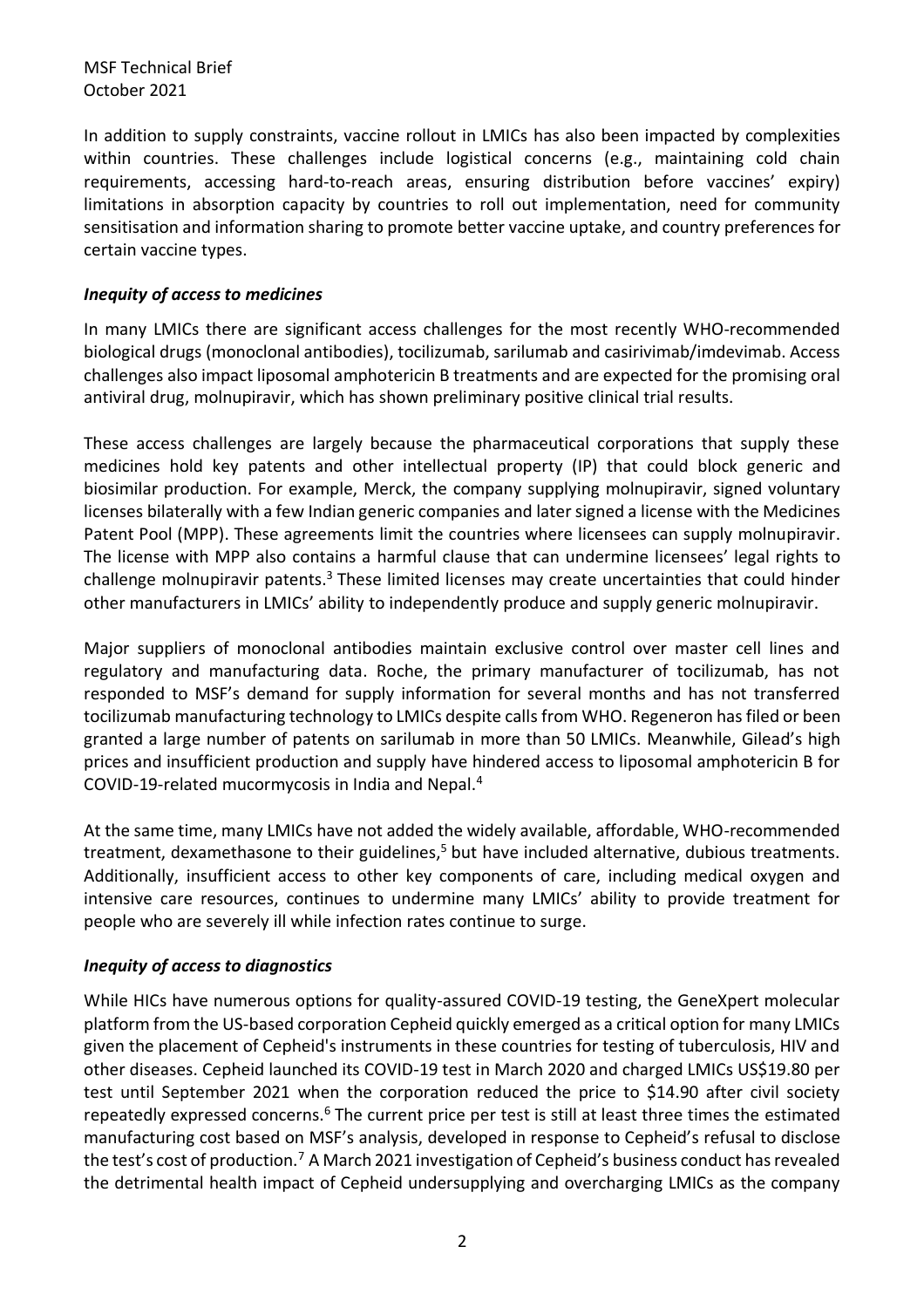In addition to supply constraints, vaccine rollout in LMICs has also been impacted by complexities within countries. These challenges include logistical concerns (e.g., maintaining cold chain requirements, accessing hard-to-reach areas, ensuring distribution before vaccines' expiry) limitations in absorption capacity by countries to roll out implementation, need for community sensitisation and information sharing to promote better vaccine uptake, and country preferences for certain vaccine types.

#### *Inequity of access to medicines*

In many LMICs there are significant access challenges for the most recently WHO-recommended biological drugs (monoclonal antibodies), tocilizumab, sarilumab and casirivimab/imdevimab. Access challenges also impact liposomal amphotericin B treatments and are expected for the promising oral antiviral drug, molnupiravir, which has shown preliminary positive clinical trial results.

These access challenges are largely because the pharmaceutical corporations that supply these medicines hold key patents and other intellectual property (IP) that could block generic and biosimilar production. For example, Merck, the company supplying molnupiravir, signed voluntary licenses bilaterally with a few Indian generic companies and later signed a license with the Medicines Patent Pool (MPP). These agreements limit the countries where licensees can supply molnupiravir. The license with MPP also contains a harmful clause that can undermine licensees' legal rights to challenge molnupiravir patents.<sup>3</sup> These limited licenses may create uncertainties that could hinder other manufacturers in LMICs' ability to independently produce and supply generic molnupiravir.

Major suppliers of monoclonal antibodies maintain exclusive control over master cell lines and regulatory and manufacturing data. Roche, the primary manufacturer of tocilizumab, has not responded to MSF's demand for supply information for several months and has not transferred tocilizumab manufacturing technology to LMICs despite callsfrom WHO. Regeneron has filed or been granted a large number of patents on sarilumab in more than 50 LMICs. Meanwhile, Gilead's high prices and insufficient production and supply have hindered access to liposomal amphotericin B for COVID-19-related mucormycosis in India and Nepal. 4

At the same time, many LMICs have not added the widely available, affordable, WHO-recommended treatment, dexamethasone to their guidelines,<sup>5</sup> but have included alternative, dubious treatments. Additionally, insufficient access to other key components of care, including medical oxygen and intensive care resources, continues to undermine many LMICs' ability to provide treatment for people who are severely ill while infection rates continue to surge.

### *Inequity of access to diagnostics*

While HICs have numerous options for quality-assured COVID-19 testing, the GeneXpert molecular platform from the US-based corporation Cepheid quickly emerged as a critical option for many LMICs given the placement of Cepheid's instruments in these countries for testing of tuberculosis, HIV and other diseases. Cepheid launched its COVID-19 test in March 2020 and charged LMICs US\$19.80 per test until September 2021 when the corporation reduced the price to \$14.90 after civil society repeatedly expressed concerns.<sup>6</sup> The current price per test is still at least three times the estimated manufacturing cost based on [MSF's analysis](https://msfaccess.org/improve-local-production-diagnostics), developed in response to Cepheid's refusal to disclose the test's cost of production.<sup>7</sup> A March 2021 investigation of Cepheid's business conduct has revealed the detrimental health impact of Cepheid undersupplying and overcharging LMICs as the company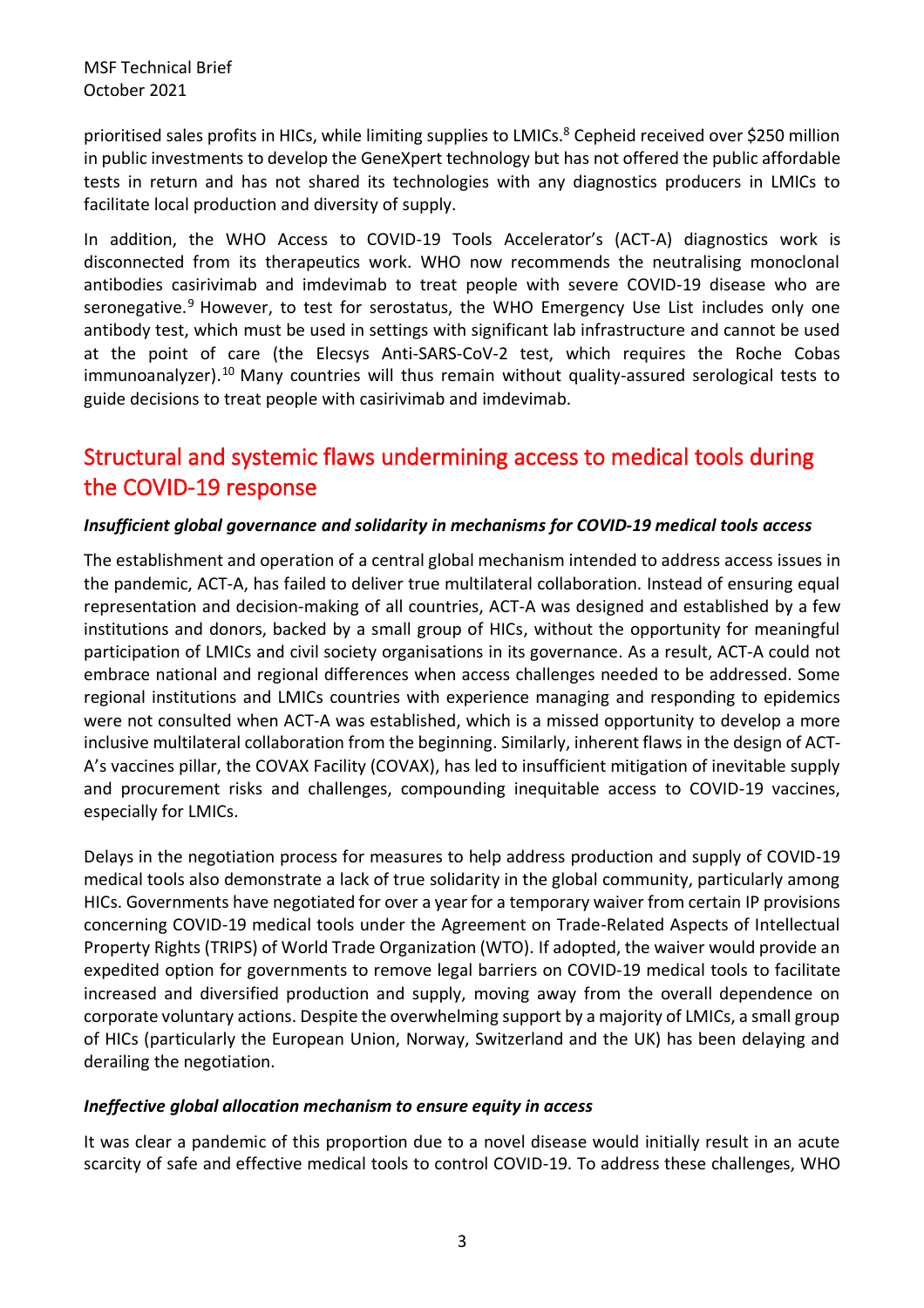prioritised sales profits in HICs, while limiting supplies to LMICs.<sup>8</sup> Cepheid received over \$250 million in public investments to develop the GeneXpert technology but has not offered the public affordable tests in return and has not shared its technologies with any diagnostics producers in LMICs to facilitate local production and diversity of supply.

In addition, the WHO Access to COVID-19 Tools Accelerator's (ACT-A) diagnostics work is disconnected from its therapeutics work. WHO now recommends the neutralising monoclonal antibodies casirivimab and imdevimab to treat people with severe COVID-19 disease who are seronegative.<sup>9</sup> However, to test for serostatus, the WHO Emergency Use List includes only one antibody test, which must be used in settings with significant lab infrastructure and cannot be used at the point of care (the Elecsys Anti-SARS-CoV-2 test, which requires the Roche Cobas immunoanalyzer).<sup>10</sup> Many countries will thus remain without quality-assured serological tests to guide decisions to treat people with casirivimab and imdevimab.

# Structural and systemic flaws undermining access to medical tools during the COVID-19 response

#### *Insufficient global governance and solidarity in mechanisms for COVID-19 medical tools access*

The establishment and operation of a central global mechanism intended to address access issues in the pandemic, ACT-A, has failed to deliver true multilateral collaboration. Instead of ensuring equal representation and decision-making of all countries, ACT-A was designed and established by a few institutions and donors, backed by a small group of HICs, without the opportunity for meaningful participation of LMICs and civil society organisations in its governance. As a result, ACT-A could not embrace national and regional differences when access challenges needed to be addressed. Some regional institutions and LMICs countries with experience managing and responding to epidemics were not consulted when ACT-A was established, which is a missed opportunity to develop a more inclusive multilateral collaboration from the beginning. Similarly, inherent flaws in the design of ACT-A's vaccines pillar, the COVAX Facility (COVAX), has led to insufficient mitigation of inevitable supply and procurement risks and challenges, compounding inequitable access to COVID-19 vaccines, especially for LMICs.

Delays in the negotiation process for measures to help address production and supply of COVID-19 medical tools also demonstrate a lack of true solidarity in the global community, particularly among HICs. Governments have negotiated for over a year for a temporary waiver from certain IP provisions concerning COVID-19 medical tools under the Agreement on Trade-Related Aspects of Intellectual Property Rights (TRIPS) of World Trade Organization (WTO). If adopted, the waiver would provide an expedited option for governments to remove legal barriers on COVID-19 medical tools to facilitate increased and diversified production and supply, moving away from the overall dependence on corporate voluntary actions. Despite the overwhelming support by a majority of LMICs, a small group of HICs (particularly the European Union, Norway, Switzerland and the UK) has been delaying and derailing the negotiation.

#### *Ineffective global allocation mechanism to ensure equity in access*

It was clear a pandemic of this proportion due to a novel disease would initially result in an acute scarcity of safe and effective medical tools to control COVID-19. To address these challenges, WHO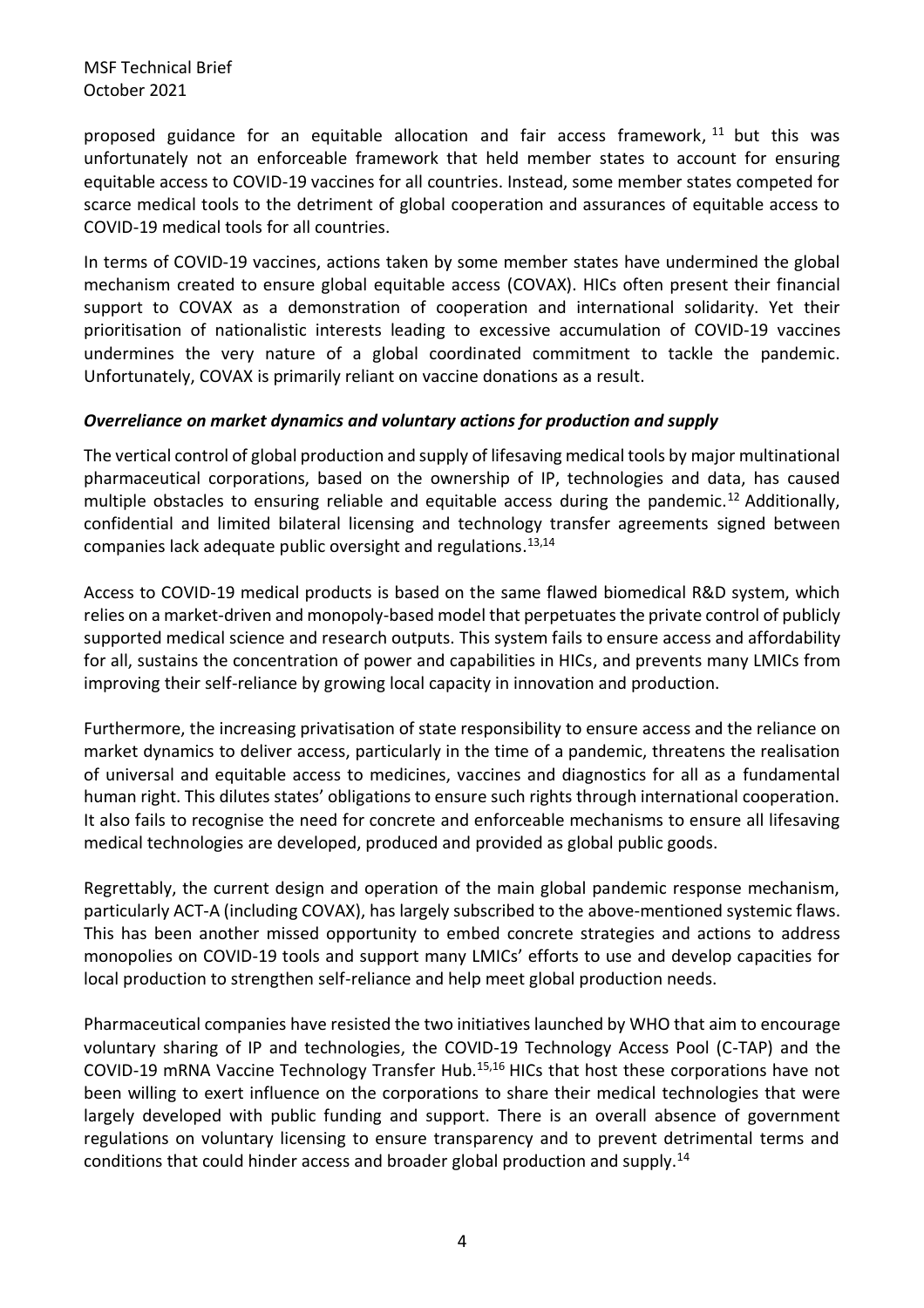proposed guidance for an equitable allocation and fair access framework, <sup>11</sup> but this was unfortunately not an enforceable framework that held member states to account for ensuring equitable access to COVID-19 vaccines for all countries. Instead, some member states competed for scarce medical tools to the detriment of global cooperation and assurances of equitable access to COVID-19 medical tools for all countries.

In terms of COVID-19 vaccines, actions taken by some member states have undermined the global mechanism created to ensure global equitable access (COVAX). HICs often present their financial support to COVAX as a demonstration of cooperation and international solidarity. Yet their prioritisation of nationalistic interests leading to excessive accumulation of COVID-19 vaccines undermines the very nature of a global coordinated commitment to tackle the pandemic. Unfortunately, COVAX is primarily reliant on vaccine donations as a result.

#### *Overreliance on market dynamics and voluntary actions for production and supply*

The vertical control of global production and supply of lifesaving medical tools by major multinational pharmaceutical corporations, based on the ownership of IP, technologies and data, has caused multiple obstacles to ensuring reliable and equitable access during the pandemic.<sup>12</sup> Additionally, confidential and limited bilateral licensing and technology transfer agreements signed between companies lack adequate public oversight and regulations. 13,14

Access to COVID-19 medical products is based on the same flawed biomedical R&D system, which relies on a market-driven and monopoly-based model that perpetuates the private control of publicly supported medical science and research outputs. This system fails to ensure access and affordability for all, sustains the concentration of power and capabilities in HICs, and prevents many LMICs from improving their self-reliance by growing local capacity in innovation and production.

Furthermore, the increasing privatisation of state responsibility to ensure access and the reliance on market dynamics to deliver access, particularly in the time of a pandemic, threatens the realisation of universal and equitable access to medicines, vaccines and diagnostics for all as a fundamental human right. This dilutes states' obligations to ensure such rights through international cooperation. It also fails to recognise the need for concrete and enforceable mechanisms to ensure all lifesaving medical technologies are developed, produced and provided as global public goods.

Regrettably, the current design and operation of the main global pandemic response mechanism, particularly ACT-A (including COVAX), has largely subscribed to the above-mentioned systemic flaws. This has been another missed opportunity to embed concrete strategies and actions to address monopolies on COVID-19 tools and support many LMICs' efforts to use and develop capacities for local production to strengthen self-reliance and help meet global production needs.

Pharmaceutical companies have resisted the two initiatives launched by WHO that aim to encourage voluntary sharing of IP and technologies, the COVID-19 Technology Access Pool (C-TAP) and the COVID-19 mRNA Vaccine Technology Transfer Hub.15,16 HICs that host these corporations have not been willing to exert influence on the corporations to share their medical technologies that were largely developed with public funding and support. There is an overall absence of government regulations on voluntary licensing to ensure transparency and to prevent detrimental terms and conditions that could hinder access and broader global production and supply.14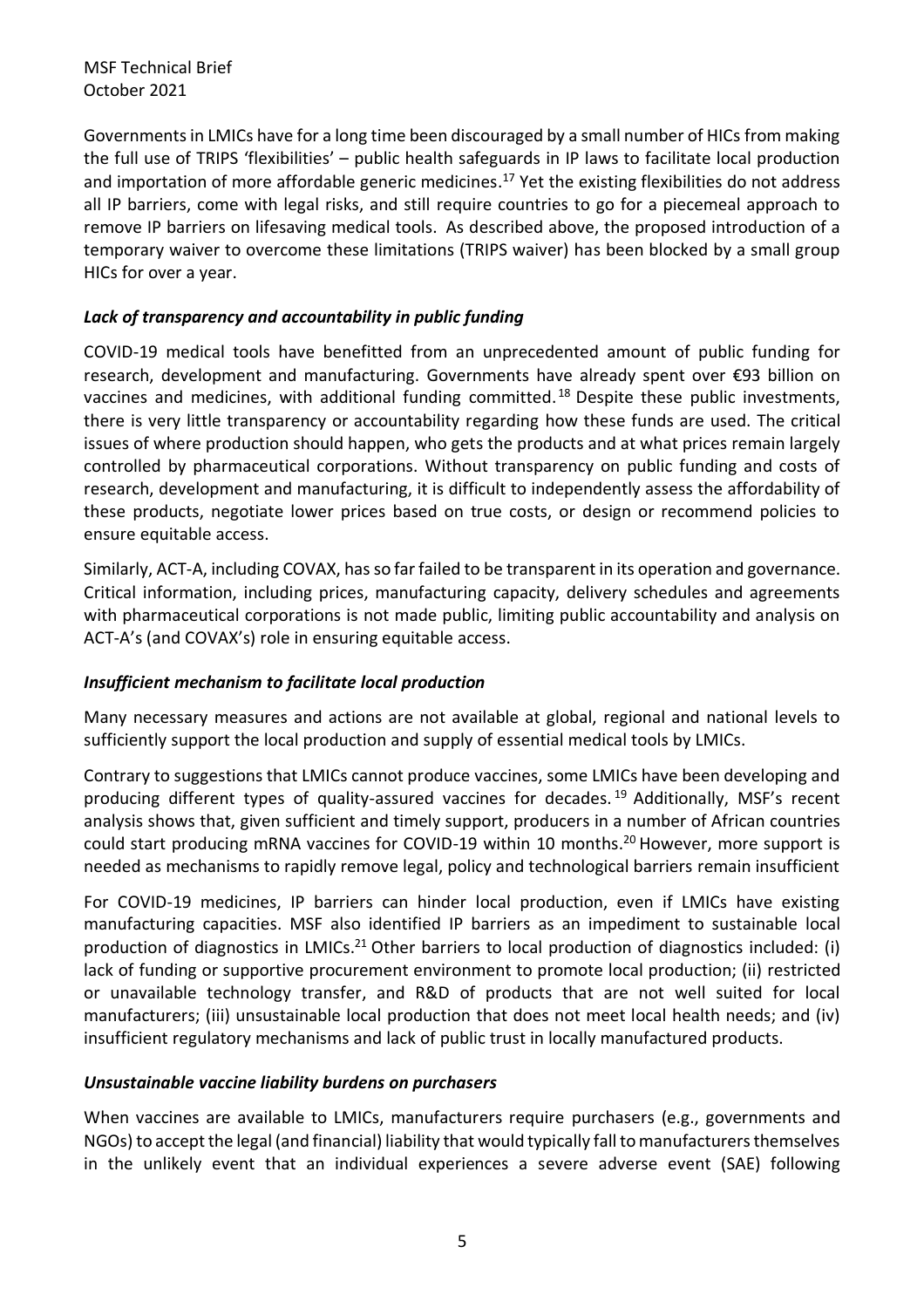Governments in LMICs have for a long time been discouraged by a small number of HICs from making the full use of TRIPS 'flexibilities' – public health safeguards in IP laws to facilitate local production and importation of more affordable generic medicines. <sup>17</sup> Yet the existing flexibilities do not address all IP barriers, come with legal risks, and still require countries to go for a piecemeal approach to remove IP barriers on lifesaving medical tools. As described above, the proposed introduction of a temporary waiver to overcome these limitations (TRIPS waiver) has been blocked by a small group HICs for over a year.

### *Lack of transparency and accountability in public funding*

COVID-19 medical tools have benefitted from an unprecedented amount of public funding for research, development and manufacturing. Governments have already spent over €93 billion on vaccines and medicines, with additional funding committed.<sup>18</sup> Despite these public investments, there is very little transparency or accountability regarding how these funds are used. The critical issues of where production should happen, who gets the products and at what prices remain largely controlled by pharmaceutical corporations. Without transparency on public funding and costs of research, development and manufacturing, it is difficult to independently assess the affordability of these products, negotiate lower prices based on true costs, or design or recommend policies to ensure equitable access.

Similarly, ACT-A, including COVAX, has so far failed to be transparent in its operation and governance. Critical information, including prices, manufacturing capacity, delivery schedules and agreements with pharmaceutical corporations is not made public, limiting public accountability and analysis on ACT-A's (and COVAX's) role in ensuring equitable access.

### *Insufficient mechanism to facilitate local production*

Many necessary measures and actions are not available at global, regional and national levels to sufficiently support the local production and supply of essential medical tools by LMICs.

Contrary to suggestions that LMICs cannot produce vaccines, some LMICs have been developing and producing different types of quality-assured vaccines for decades.<sup>19</sup> Additionally, MSF's recent analysis shows that, given sufficient and timely support, producers in a number of African countries could start producing mRNA vaccines for COVID-19 within 10 months.<sup>20</sup> However, more support is needed as mechanisms to rapidly remove legal, policy and technological barriers remain insufficient

For COVID-19 medicines, IP barriers can hinder local production, even if LMICs have existing manufacturing capacities. MSF also identified IP barriers as an impediment to sustainable local production of diagnostics in LMICs.<sup>21</sup> Other barriers to local production of diagnostics included: (i) lack of funding or supportive procurement environment to promote local production; (ii) restricted or unavailable technology transfer, and R&D of products that are not well suited for local manufacturers; (iii) unsustainable local production that does not meet local health needs; and (iv) insufficient regulatory mechanisms and lack of public trust in locally manufactured products.

### *Unsustainable vaccine liability burdens on purchasers*

When vaccines are available to LMICs, manufacturers require purchasers (e.g., governments and NGOs) to accept the legal (and financial) liability that would typically fall to manufacturers themselves in the unlikely event that an individual experiences a severe adverse event (SAE) following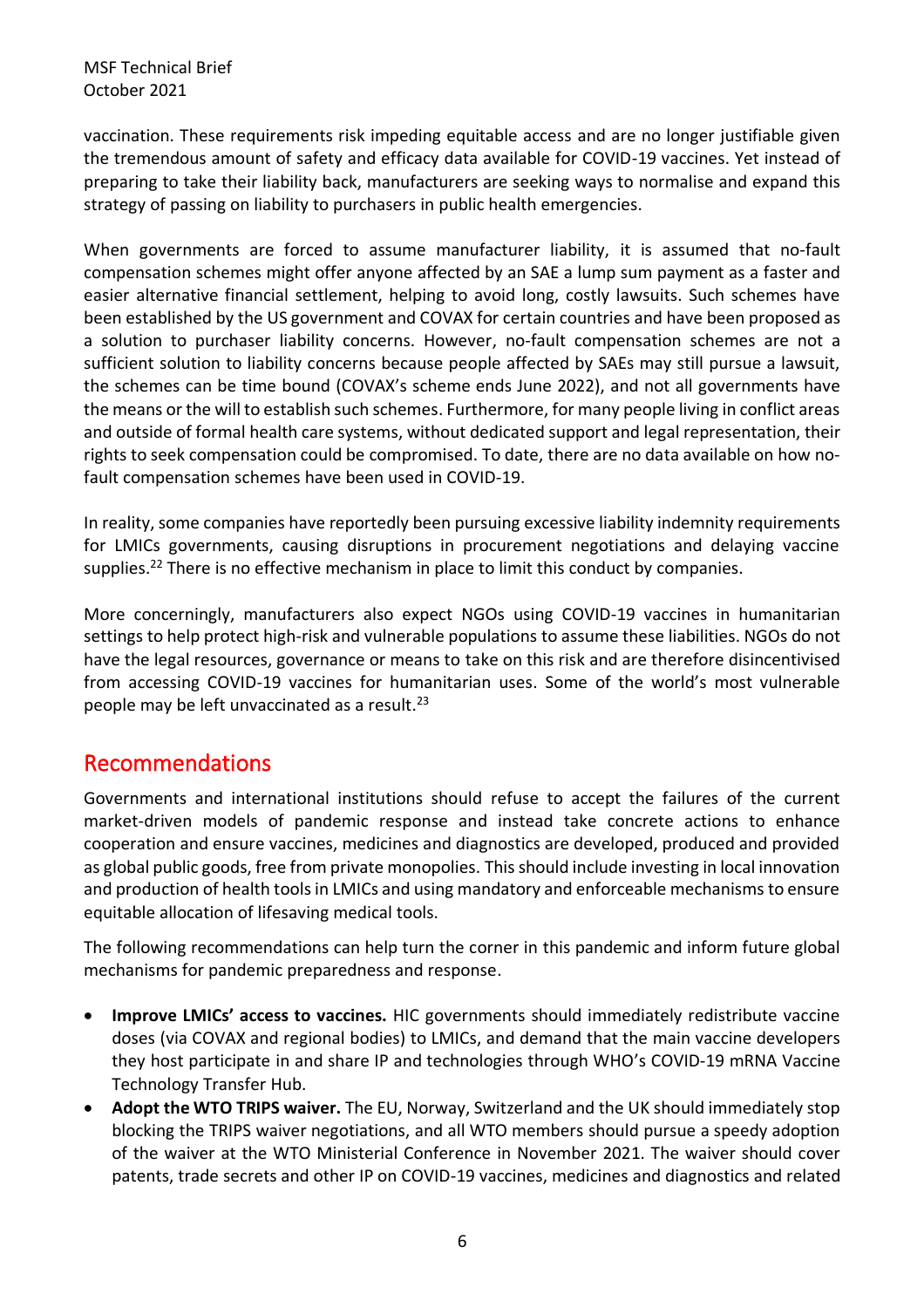vaccination. These requirements risk impeding equitable access and are no longer justifiable given the tremendous amount of safety and efficacy data available for COVID-19 vaccines. Yet instead of preparing to take their liability back, manufacturers are seeking ways to normalise and expand this strategy of passing on liability to purchasers in public health emergencies.

When governments are forced to assume manufacturer liability, it is assumed that no-fault compensation schemes might offer anyone affected by an SAE a lump sum payment as a faster and easier alternative financial settlement, helping to avoid long, costly lawsuits. Such schemes have been established by the US government and COVAX for certain countries and have been proposed as a solution to purchaser liability concerns. However, no-fault compensation schemes are not a sufficient solution to liability concerns because people affected by SAEs may still pursue a lawsuit, the schemes can be time bound (COVAX's scheme ends June 2022), and not all governments have the means or the will to establish such schemes. Furthermore, for many people living in conflict areas and outside of formal health care systems, without dedicated support and legal representation, their rights to seek compensation could be compromised. To date, there are no data available on how nofault compensation schemes have been used in COVID-19.

In reality, some companies have reportedly been pursuing excessive liability indemnity requirements for LMICs governments, causing disruptions in procurement negotiations and delaying vaccine supplies.<sup>22</sup> There is no effective mechanism in place to limit this conduct by companies.

More concerningly, manufacturers also expect NGOs using COVID-19 vaccines in humanitarian settings to help protect high-risk and vulnerable populations to assume these liabilities. NGOs do not have the legal resources, governance or means to take on this risk and are therefore disincentivised from accessing COVID-19 vaccines for humanitarian uses. Some of the world's most vulnerable people may be left unvaccinated as a result. 23

# Recommendations

Governments and international institutions should refuse to accept the failures of the current market-driven models of pandemic response and instead take concrete actions to enhance cooperation and ensure vaccines, medicines and diagnostics are developed, produced and provided as global public goods, free from private monopolies. This should include investing in local innovation and production of health tools in LMICs and using mandatory and enforceable mechanisms to ensure equitable allocation of lifesaving medical tools.

The following recommendations can help turn the corner in this pandemic and inform future global mechanisms for pandemic preparedness and response.

- **Improve LMICs' access to vaccines.** HIC governments should immediately redistribute vaccine doses (via COVAX and regional bodies) to LMICs, and demand that the main vaccine developers they host participate in and share IP and technologies through WHO's COVID-19 mRNA Vaccine Technology Transfer Hub.
- **Adopt the WTO TRIPS waiver.** The EU, Norway, Switzerland and the UK should immediately stop blocking the TRIPS waiver negotiations, and all WTO members should pursue a speedy adoption of the waiver at the WTO Ministerial Conference in November 2021. The waiver should cover patents, trade secrets and other IP on COVID-19 vaccines, medicines and diagnostics and related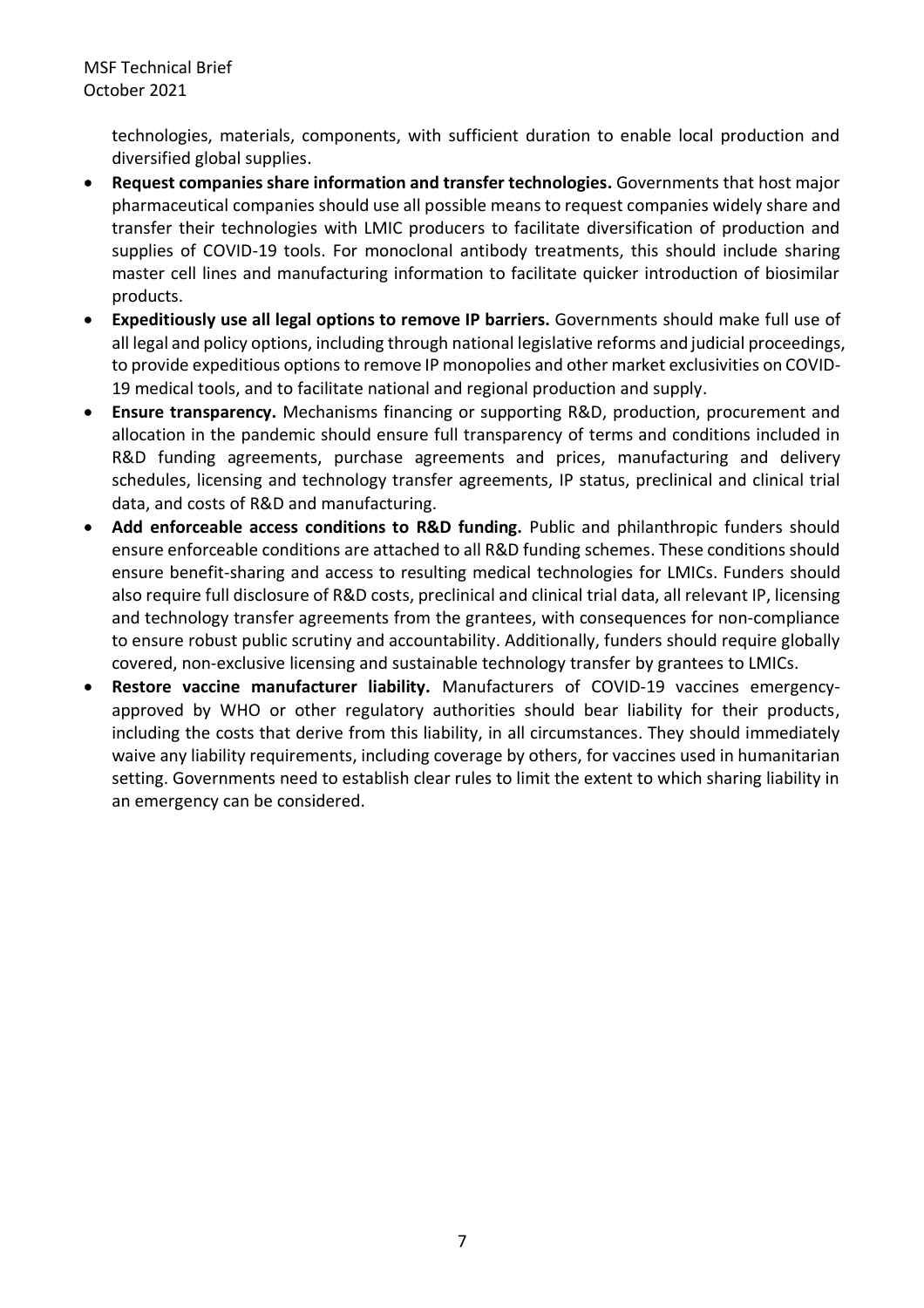technologies, materials, components, with sufficient duration to enable local production and diversified global supplies.

- **Request companies share information and transfer technologies.** Governments that host major pharmaceutical companies should use all possible means to request companies widely share and transfer their technologies with LMIC producers to facilitate diversification of production and supplies of COVID-19 tools. For monoclonal antibody treatments, this should include sharing master cell lines and manufacturing information to facilitate quicker introduction of biosimilar products.
- **Expeditiously use all legal options to remove IP barriers.** Governments should make full use of all legal and policy options, including through national legislative reforms and judicial proceedings, to provide expeditious options to remove IP monopolies and other market exclusivities on COVID-19 medical tools, and to facilitate national and regional production and supply.
- **Ensure transparency.** Mechanisms financing or supporting R&D, production, procurement and allocation in the pandemic should ensure full transparency of terms and conditions included in R&D funding agreements, purchase agreements and prices, manufacturing and delivery schedules, licensing and technology transfer agreements, IP status, preclinical and clinical trial data, and costs of R&D and manufacturing.
- **Add enforceable access conditions to R&D funding.** Public and philanthropic funders should ensure enforceable conditions are attached to all R&D funding schemes. These conditions should ensure benefit-sharing and access to resulting medical technologies for LMICs. Funders should also require full disclosure of R&D costs, preclinical and clinical trial data, all relevant IP, licensing and technology transfer agreements from the grantees, with consequences for non-compliance to ensure robust public scrutiny and accountability. Additionally, funders should require globally covered, non-exclusive licensing and sustainable technology transfer by grantees to LMICs.
- **Restore vaccine manufacturer liability.** Manufacturers of COVID-19 vaccines emergencyapproved by WHO or other regulatory authorities should bear liability for their products, including the costs that derive from this liability, in all circumstances. They should immediately waive any liability requirements, including coverage by others, for vaccines used in humanitarian setting. Governments need to establish clear rules to limit the extent to which sharing liability in an emergency can be considered.